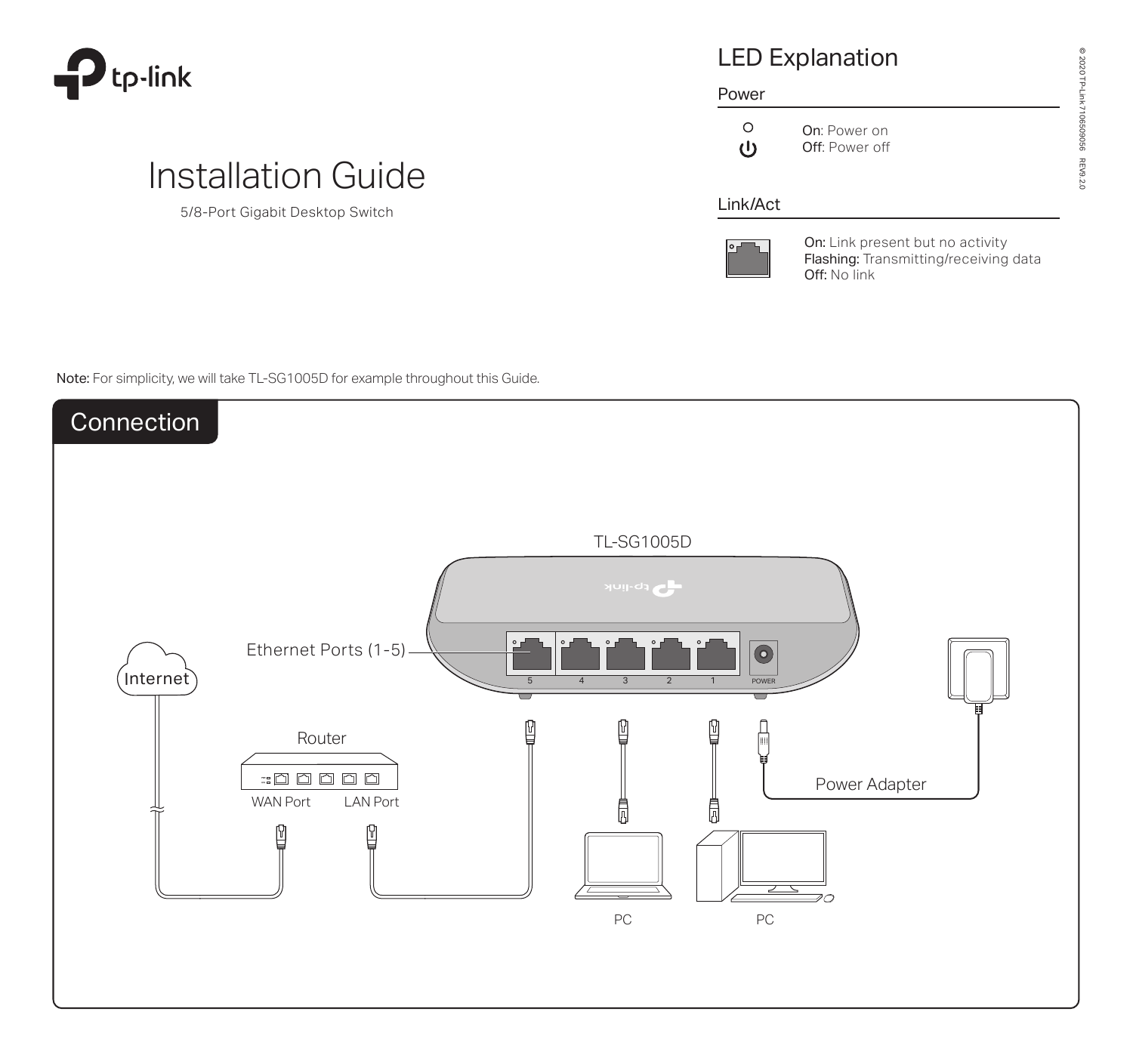

# LED Explanation

#### Power

| $\left( \right)$ | On: |
|------------------|-----|
| (را              | Off |

Power on

f: Power off

### Link/Act



On: Link present but no activity Flashing: Transmitting/receiving data Off: No link

Note: For simplicity, we will take TL-SG1005D for example throughout this Guide.

Installation Guide

5/8-Port Gigabit Desktop Switch